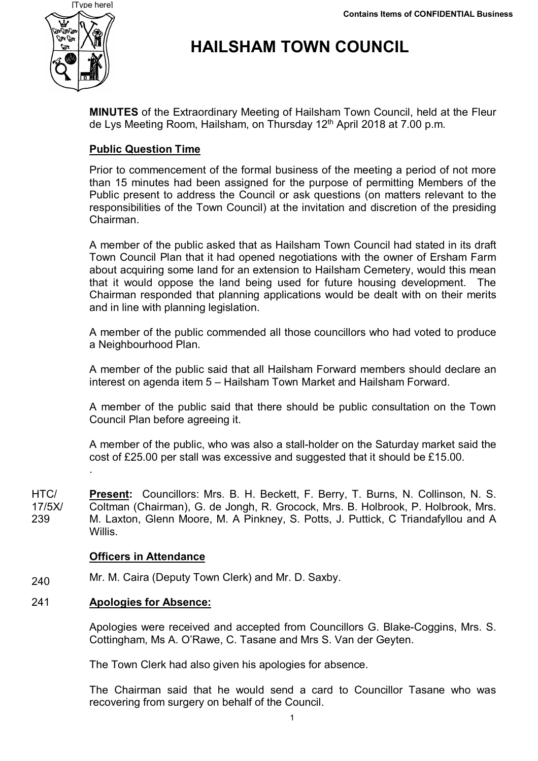

# **HAILSHAM TOWN COUNCIL**

**MINUTES** of the Extraordinary Meeting of Hailsham Town Council, held at the Fleur de Lys Meeting Room, Hailsham, on Thursday 12<sup>th</sup> April 2018 at 7.00 p.m.

# **Public Question Time**

Prior to commencement of the formal business of the meeting a period of not more than 15 minutes had been assigned for the purpose of permitting Members of the Public present to address the Council or ask questions (on matters relevant to the responsibilities of the Town Council) at the invitation and discretion of the presiding Chairman.

A member of the public asked that as Hailsham Town Council had stated in its draft Town Council Plan that it had opened negotiations with the owner of Ersham Farm about acquiring some land for an extension to Hailsham Cemetery, would this mean that it would oppose the land being used for future housing development. The Chairman responded that planning applications would be dealt with on their merits and in line with planning legislation.

A member of the public commended all those councillors who had voted to produce a Neighbourhood Plan.

A member of the public said that all Hailsham Forward members should declare an interest on agenda item 5 – Hailsham Town Market and Hailsham Forward.

A member of the public said that there should be public consultation on the Town Council Plan before agreeing it.

A member of the public, who was also a stall-holder on the Saturday market said the cost of £25.00 per stall was excessive and suggested that it should be £15.00.

HTC/ 17/5X/ 239 **Present:** Councillors: Mrs. B. H. Beckett, F. Berry, T. Burns, N. Collinson, N. S. Coltman (Chairman), G. de Jongh, R. Grocock, Mrs. B. Holbrook, P. Holbrook, Mrs. M. Laxton, Glenn Moore, M. A Pinkney, S. Potts, J. Puttick, C Triandafyllou and A Willis.

# **Officers in Attendance**

240 Mr. M. Caira (Deputy Town Clerk) and Mr. D. Saxby.

# 241 **Apologies for Absence:**

.

Apologies were received and accepted from Councillors G. Blake-Coggins, Mrs. S. Cottingham, Ms A. O'Rawe, C. Tasane and Mrs S. Van der Geyten.

The Town Clerk had also given his apologies for absence.

The Chairman said that he would send a card to Councillor Tasane who was recovering from surgery on behalf of the Council.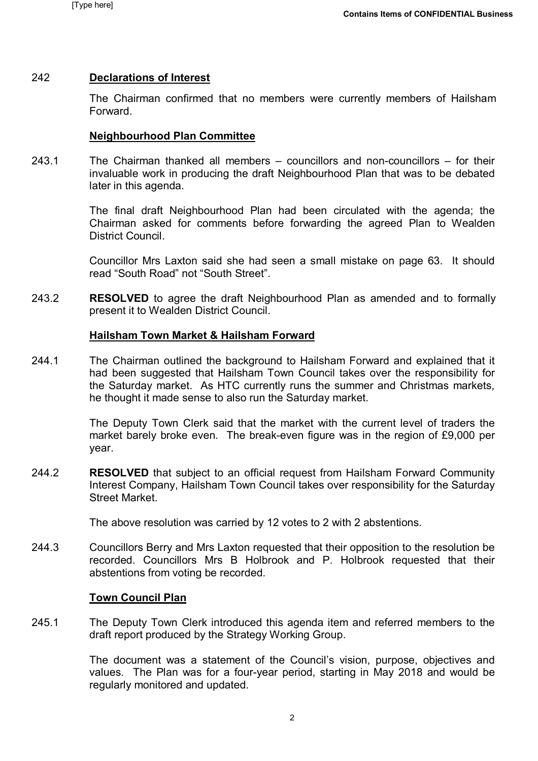### 242 **Declarations of Interest**

The Chairman confirmed that no members were currently members of Hailsham Forward.

### **Neighbourhood Plan Committee**

243.1 The Chairman thanked all members – councillors and non-councillors – for their invaluable work in producing the draft Neighbourhood Plan that was to be debated later in this agenda.

> The final draft Neighbourhood Plan had been circulated with the agenda; the Chairman asked for comments before forwarding the agreed Plan to Wealden District Council.

> Councillor Mrs Laxton said she had seen a small mistake on page 63. It should read "South Road" not "South Street".

243.2 **RESOLVED** to agree the draft Neighbourhood Plan as amended and to formally present it to Wealden District Council.

### **Hailsham Town Market & Hailsham Forward**

244.1 The Chairman outlined the background to Hailsham Forward and explained that it had been suggested that Hailsham Town Council takes over the responsibility for the Saturday market. As HTC currently runs the summer and Christmas markets, he thought it made sense to also run the Saturday market.

> The Deputy Town Clerk said that the market with the current level of traders the market barely broke even. The break-even figure was in the region of £9,000 per year.

244.2 **RESOLVED** that subject to an official request from Hailsham Forward Community Interest Company, Hailsham Town Council takes over responsibility for the Saturday Street Market.

The above resolution was carried by 12 votes to 2 with 2 abstentions.

244.3 Councillors Berry and Mrs Laxton requested that their opposition to the resolution be recorded. Councillors Mrs B Holbrook and P. Holbrook requested that their abstentions from voting be recorded.

### **Town Council Plan**

245.1 The Deputy Town Clerk introduced this agenda item and referred members to the draft report produced by the Strategy Working Group.

> The document was a statement of the Council's vision, purpose, objectives and values. The Plan was for a four-year period, starting in May 2018 and would be regularly monitored and updated.